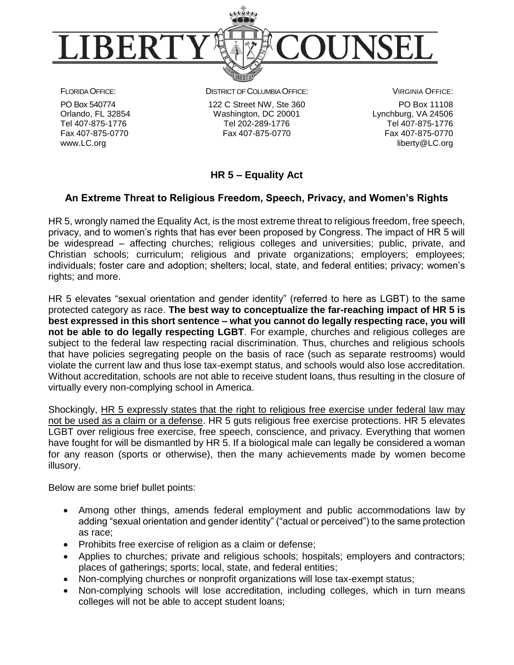

FLORIDA OFFICE: PO Box 540774 Orlando, FL 32854 Tel 407-875-1776 Fax 407-875-0770 www.LC.org

DISTRICT OF COLUMBIA OFFICE: 122 C Street NW, Ste 360 Washington, DC 20001 Tel 202-289-1776 Fax 407-875-0770

VIRGINIA OFFICE: PO Box 11108 Lynchburg, VA 24506 Tel 407-875-1776 Fax 407-875-0770 liberty@LC.org

## **HR 5 – Equality Act**

## **An Extreme Threat to Religious Freedom, Speech, Privacy, and Women's Rights**

HR 5, wrongly named the Equality Act, is the most extreme threat to religious freedom, free speech, privacy, and to women's rights that has ever been proposed by Congress. The impact of HR 5 will be widespread – affecting churches; religious colleges and universities; public, private, and Christian schools; curriculum; religious and private organizations; employers; employees; individuals; foster care and adoption; shelters; local, state, and federal entities; privacy; women's rights; and more.

HR 5 elevates "sexual orientation and gender identity" (referred to here as LGBT) to the same protected category as race. **The best way to conceptualize the far-reaching impact of HR 5 is best expressed in this short sentence – what you cannot do legally respecting race, you will not be able to do legally respecting LGBT**. For example, churches and religious colleges are subject to the federal law respecting racial discrimination. Thus, churches and religious schools that have policies segregating people on the basis of race (such as separate restrooms) would violate the current law and thus lose tax-exempt status, and schools would also lose accreditation. Without accreditation, schools are not able to receive student loans, thus resulting in the closure of virtually every non-complying school in America.

Shockingly, HR 5 expressly states that the right to religious free exercise under federal law may not be used as a claim or a defense. HR 5 guts religious free exercise protections. HR 5 elevates LGBT over religious free exercise, free speech, conscience, and privacy. Everything that women have fought for will be dismantled by HR 5. If a biological male can legally be considered a woman for any reason (sports or otherwise), then the many achievements made by women become illusory.

Below are some brief bullet points:

- Among other things, amends federal employment and public accommodations law by adding "sexual orientation and gender identity" ("actual or perceived") to the same protection as race;
- Prohibits free exercise of religion as a claim or defense;
- Applies to churches; private and religious schools; hospitals; employers and contractors; places of gatherings; sports; local, state, and federal entities;
- Non-complying churches or nonprofit organizations will lose tax-exempt status;
- Non-complying schools will lose accreditation, including colleges, which in turn means colleges will not be able to accept student loans;